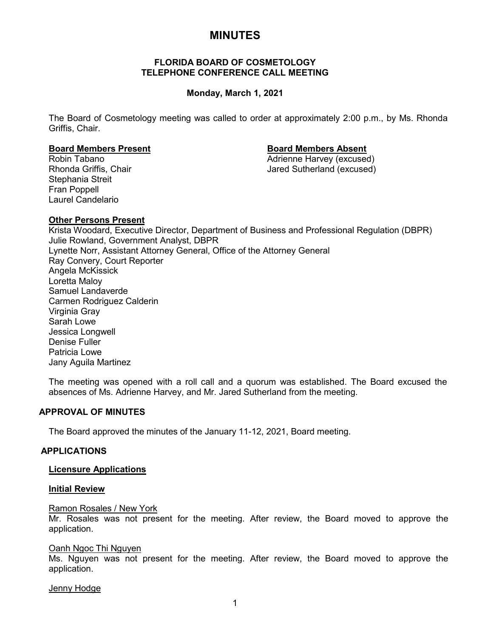# **MINUTES**

## **FLORIDA BOARD OF COSMETOLOGY TELEPHONE CONFERENCE CALL MEETING**

# **Monday, March 1, 2021**

The Board of Cosmetology meeting was called to order at approximately 2:00 p.m., by Ms. Rhonda Griffis, Chair.

### **Board Members Present Board Members Absent**

Stephania Streit Fran Poppell Laurel Candelario

Robin Tabano Adrienne Harvey (excused) Jared Sutherland (excused)

## **Other Persons Present**

Krista Woodard, Executive Director, Department of Business and Professional Regulation (DBPR) Julie Rowland, Government Analyst, DBPR Lynette Norr, Assistant Attorney General, Office of the Attorney General Ray Convery, Court Reporter Angela McKissick Loretta Maloy Samuel Landaverde Carmen Rodriguez Calderin Virginia Gray Sarah Lowe Jessica Longwell Denise Fuller Patricia Lowe Jany Aguila Martinez

The meeting was opened with a roll call and a quorum was established. The Board excused the absences of Ms. Adrienne Harvey, and Mr. Jared Sutherland from the meeting.

# **APPROVAL OF MINUTES**

The Board approved the minutes of the January 11-12, 2021, Board meeting.

### **APPLICATIONS**

### **Licensure Applications**

#### **Initial Review**

#### Ramon Rosales / New York

Mr. Rosales was not present for the meeting. After review, the Board moved to approve the application.

#### Oanh Ngoc Thi Nguyen

Ms. Nguyen was not present for the meeting. After review, the Board moved to approve the application.

### Jenny Hodge